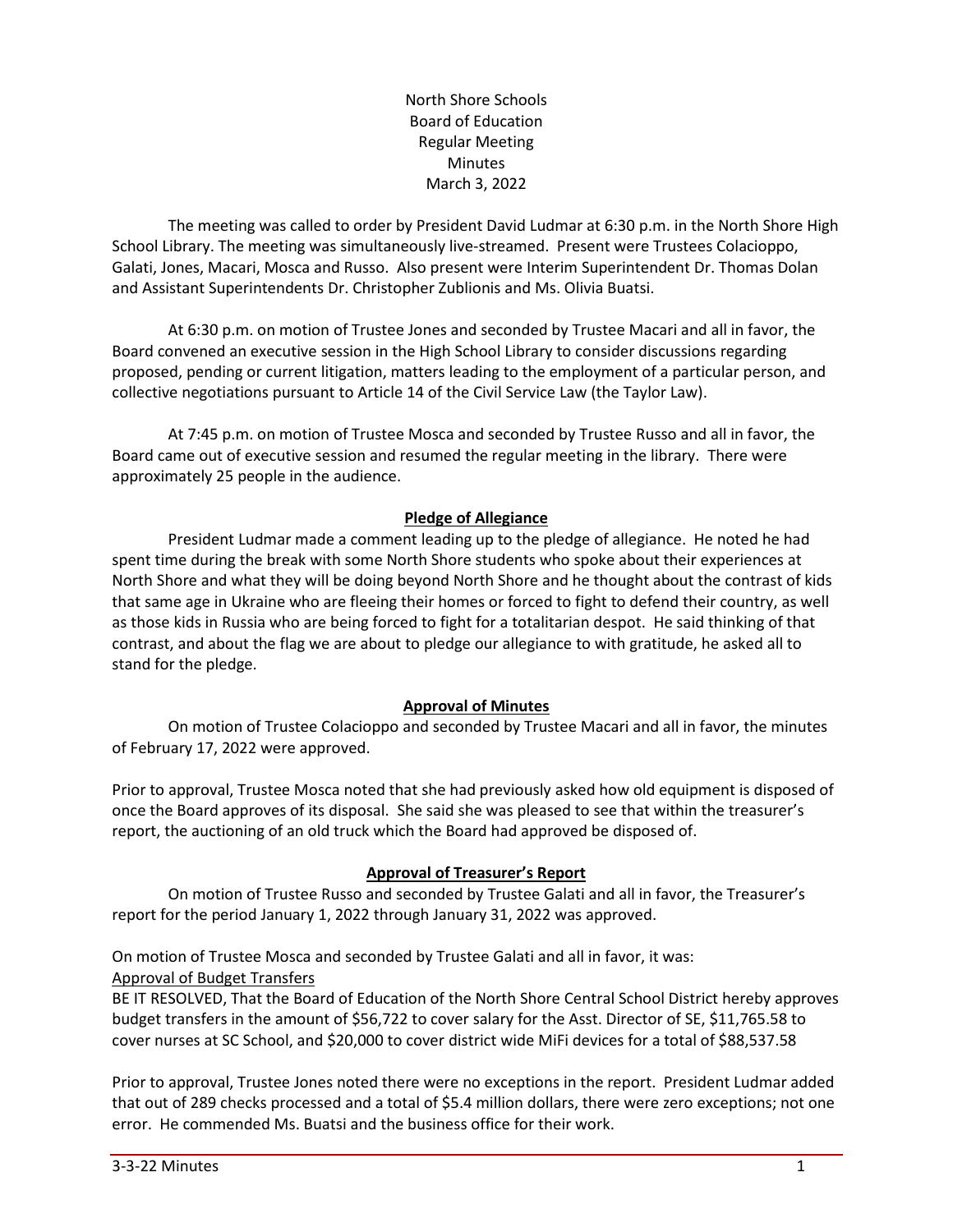North Shore Schools Board of Education Regular Meeting Minutes March 3, 2022

The meeting was called to order by President David Ludmar at 6:30 p.m. in the North Shore High School Library. The meeting was simultaneously live-streamed. Present were Trustees Colacioppo, Galati, Jones, Macari, Mosca and Russo. Also present were Interim Superintendent Dr. Thomas Dolan and Assistant Superintendents Dr. Christopher Zublionis and Ms. Olivia Buatsi.

At 6:30 p.m. on motion of Trustee Jones and seconded by Trustee Macari and all in favor, the Board convened an executive session in the High School Library to consider discussions regarding proposed, pending or current litigation, matters leading to the employment of a particular person, and collective negotiations pursuant to Article 14 of the Civil Service Law (the Taylor Law).

At 7:45 p.m. on motion of Trustee Mosca and seconded by Trustee Russo and all in favor, the Board came out of executive session and resumed the regular meeting in the library. There were approximately 25 people in the audience.

## **Pledge of Allegiance**

President Ludmar made a comment leading up to the pledge of allegiance. He noted he had spent time during the break with some North Shore students who spoke about their experiences at North Shore and what they will be doing beyond North Shore and he thought about the contrast of kids that same age in Ukraine who are fleeing their homes or forced to fight to defend their country, as well as those kids in Russia who are being forced to fight for a totalitarian despot. He said thinking of that contrast, and about the flag we are about to pledge our allegiance to with gratitude, he asked all to stand for the pledge.

### **Approval of Minutes**

On motion of Trustee Colacioppo and seconded by Trustee Macari and all in favor, the minutes of February 17, 2022 were approved.

Prior to approval, Trustee Mosca noted that she had previously asked how old equipment is disposed of once the Board approves of its disposal. She said she was pleased to see that within the treasurer's report, the auctioning of an old truck which the Board had approved be disposed of.

### **Approval of Treasurer's Report**

On motion of Trustee Russo and seconded by Trustee Galati and all in favor, the Treasurer's report for the period January 1, 2022 through January 31, 2022 was approved.

On motion of Trustee Mosca and seconded by Trustee Galati and all in favor, it was:

#### Approval of Budget Transfers

BE IT RESOLVED, That the Board of Education of the North Shore Central School District hereby approves budget transfers in the amount of \$56,722 to cover salary for the Asst. Director of SE, \$11,765.58 to cover nurses at SC School, and \$20,000 to cover district wide MiFi devices for a total of \$88,537.58

Prior to approval, Trustee Jones noted there were no exceptions in the report. President Ludmar added that out of 289 checks processed and a total of \$5.4 million dollars, there were zero exceptions; not one error. He commended Ms. Buatsi and the business office for their work.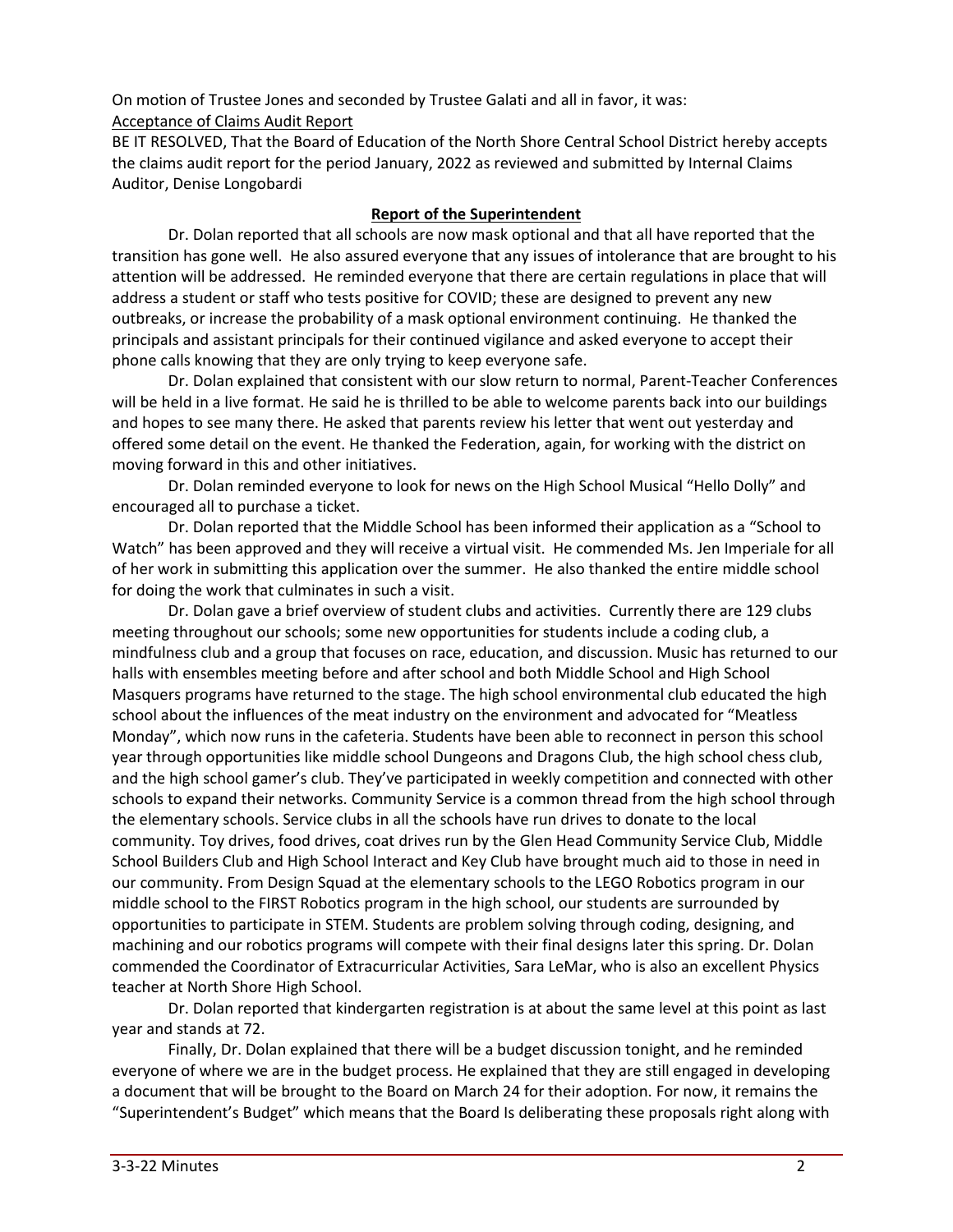On motion of Trustee Jones and seconded by Trustee Galati and all in favor, it was: Acceptance of Claims Audit Report

BE IT RESOLVED, That the Board of Education of the North Shore Central School District hereby accepts the claims audit report for the period January, 2022 as reviewed and submitted by Internal Claims Auditor, Denise Longobardi

# **Report of the Superintendent**

Dr. Dolan reported that all schools are now mask optional and that all have reported that the transition has gone well. He also assured everyone that any issues of intolerance that are brought to his attention will be addressed. He reminded everyone that there are certain regulations in place that will address a student or staff who tests positive for COVID; these are designed to prevent any new outbreaks, or increase the probability of a mask optional environment continuing. He thanked the principals and assistant principals for their continued vigilance and asked everyone to accept their phone calls knowing that they are only trying to keep everyone safe.

Dr. Dolan explained that consistent with our slow return to normal, Parent-Teacher Conferences will be held in a live format. He said he is thrilled to be able to welcome parents back into our buildings and hopes to see many there. He asked that parents review his letter that went out yesterday and offered some detail on the event. He thanked the Federation, again, for working with the district on moving forward in this and other initiatives.

Dr. Dolan reminded everyone to look for news on the High School Musical "Hello Dolly" and encouraged all to purchase a ticket.

Dr. Dolan reported that the Middle School has been informed their application as a "School to Watch" has been approved and they will receive a virtual visit. He commended Ms. Jen Imperiale for all of her work in submitting this application over the summer. He also thanked the entire middle school for doing the work that culminates in such a visit.

Dr. Dolan gave a brief overview of student clubs and activities. Currently there are 129 clubs meeting throughout our schools; some new opportunities for students include a coding club, a mindfulness club and a group that focuses on race, education, and discussion. Music has returned to our halls with ensembles meeting before and after school and both Middle School and High School Masquers programs have returned to the stage. The high school environmental club educated the high school about the influences of the meat industry on the environment and advocated for "Meatless Monday", which now runs in the cafeteria. Students have been able to reconnect in person this school year through opportunities like middle school Dungeons and Dragons Club, the high school chess club, and the high school gamer's club. They've participated in weekly competition and connected with other schools to expand their networks. Community Service is a common thread from the high school through the elementary schools. Service clubs in all the schools have run drives to donate to the local community. Toy drives, food drives, coat drives run by the Glen Head Community Service Club, Middle School Builders Club and High School Interact and Key Club have brought much aid to those in need in our community. From Design Squad at the elementary schools to the LEGO Robotics program in our middle school to the FIRST Robotics program in the high school, our students are surrounded by opportunities to participate in STEM. Students are problem solving through coding, designing, and machining and our robotics programs will compete with their final designs later this spring. Dr. Dolan commended the Coordinator of Extracurricular Activities, Sara LeMar, who is also an excellent Physics teacher at North Shore High School.

Dr. Dolan reported that kindergarten registration is at about the same level at this point as last year and stands at 72.

Finally, Dr. Dolan explained that there will be a budget discussion tonight, and he reminded everyone of where we are in the budget process. He explained that they are still engaged in developing a document that will be brought to the Board on March 24 for their adoption. For now, it remains the "Superintendent's Budget" which means that the Board Is deliberating these proposals right along with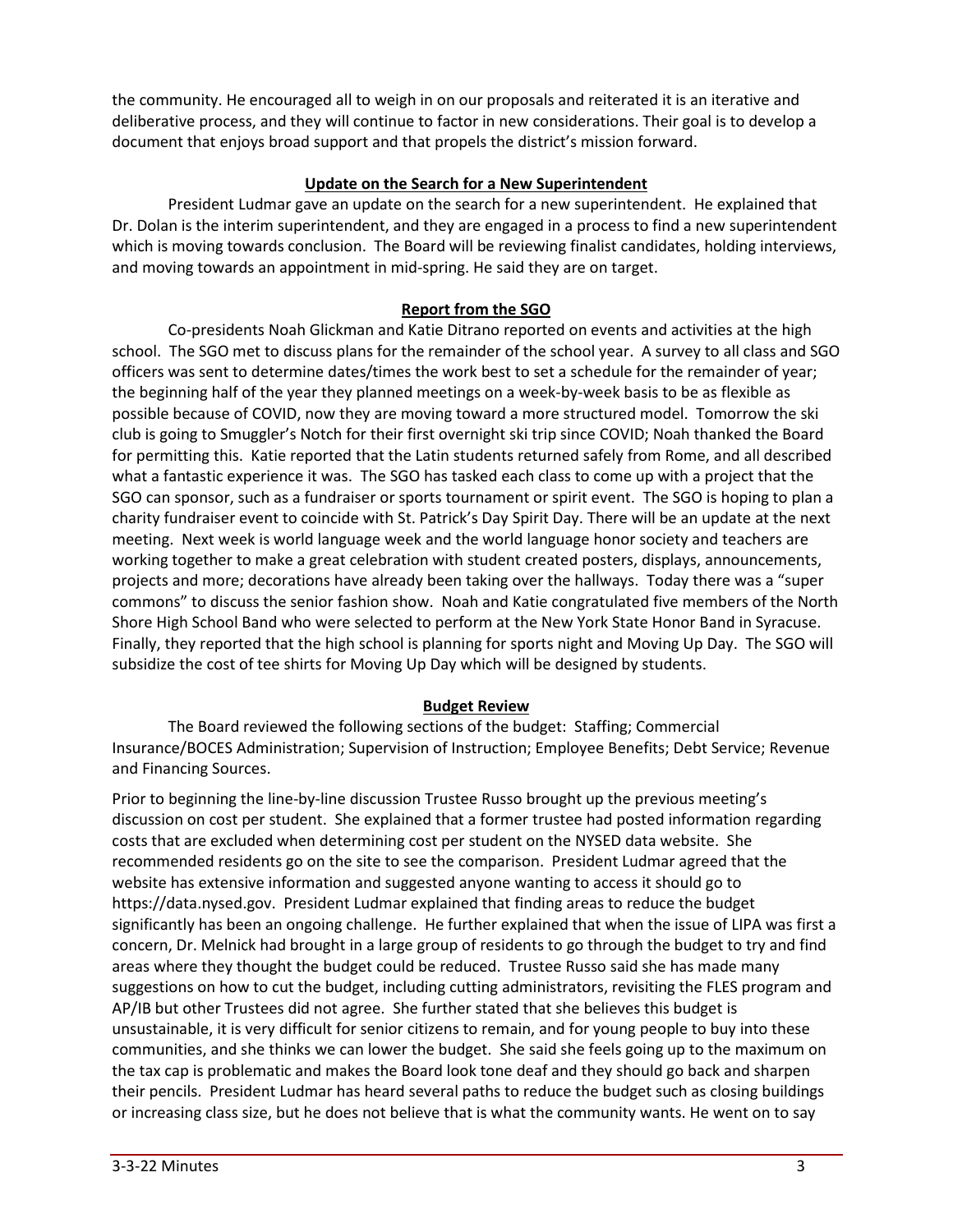the community. He encouraged all to weigh in on our proposals and reiterated it is an iterative and deliberative process, and they will continue to factor in new considerations. Their goal is to develop a document that enjoys broad support and that propels the district's mission forward.

## **Update on the Search for a New Superintendent**

President Ludmar gave an update on the search for a new superintendent. He explained that Dr. Dolan is the interim superintendent, and they are engaged in a process to find a new superintendent which is moving towards conclusion. The Board will be reviewing finalist candidates, holding interviews, and moving towards an appointment in mid-spring. He said they are on target.

# **Report from the SGO**

Co-presidents Noah Glickman and Katie Ditrano reported on events and activities at the high school. The SGO met to discuss plans for the remainder of the school year. A survey to all class and SGO officers was sent to determine dates/times the work best to set a schedule for the remainder of year; the beginning half of the year they planned meetings on a week-by-week basis to be as flexible as possible because of COVID, now they are moving toward a more structured model. Tomorrow the ski club is going to Smuggler's Notch for their first overnight ski trip since COVID; Noah thanked the Board for permitting this. Katie reported that the Latin students returned safely from Rome, and all described what a fantastic experience it was. The SGO has tasked each class to come up with a project that the SGO can sponsor, such as a fundraiser or sports tournament or spirit event. The SGO is hoping to plan a charity fundraiser event to coincide with St. Patrick's Day Spirit Day. There will be an update at the next meeting. Next week is world language week and the world language honor society and teachers are working together to make a great celebration with student created posters, displays, announcements, projects and more; decorations have already been taking over the hallways. Today there was a "super commons" to discuss the senior fashion show. Noah and Katie congratulated five members of the North Shore High School Band who were selected to perform at the New York State Honor Band in Syracuse. Finally, they reported that the high school is planning for sports night and Moving Up Day. The SGO will subsidize the cost of tee shirts for Moving Up Day which will be designed by students.

### **Budget Review**

The Board reviewed the following sections of the budget: Staffing; Commercial Insurance/BOCES Administration; Supervision of Instruction; Employee Benefits; Debt Service; Revenue and Financing Sources.

Prior to beginning the line-by-line discussion Trustee Russo brought up the previous meeting's discussion on cost per student. She explained that a former trustee had posted information regarding costs that are excluded when determining cost per student on the NYSED data website. She recommended residents go on the site to see the comparison. President Ludmar agreed that the website has extensive information and suggested anyone wanting to access it should go to https://data.nysed.gov. President Ludmar explained that finding areas to reduce the budget significantly has been an ongoing challenge. He further explained that when the issue of LIPA was first a concern, Dr. Melnick had brought in a large group of residents to go through the budget to try and find areas where they thought the budget could be reduced. Trustee Russo said she has made many suggestions on how to cut the budget, including cutting administrators, revisiting the FLES program and AP/IB but other Trustees did not agree. She further stated that she believes this budget is unsustainable, it is very difficult for senior citizens to remain, and for young people to buy into these communities, and she thinks we can lower the budget. She said she feels going up to the maximum on the tax cap is problematic and makes the Board look tone deaf and they should go back and sharpen their pencils. President Ludmar has heard several paths to reduce the budget such as closing buildings or increasing class size, but he does not believe that is what the community wants. He went on to say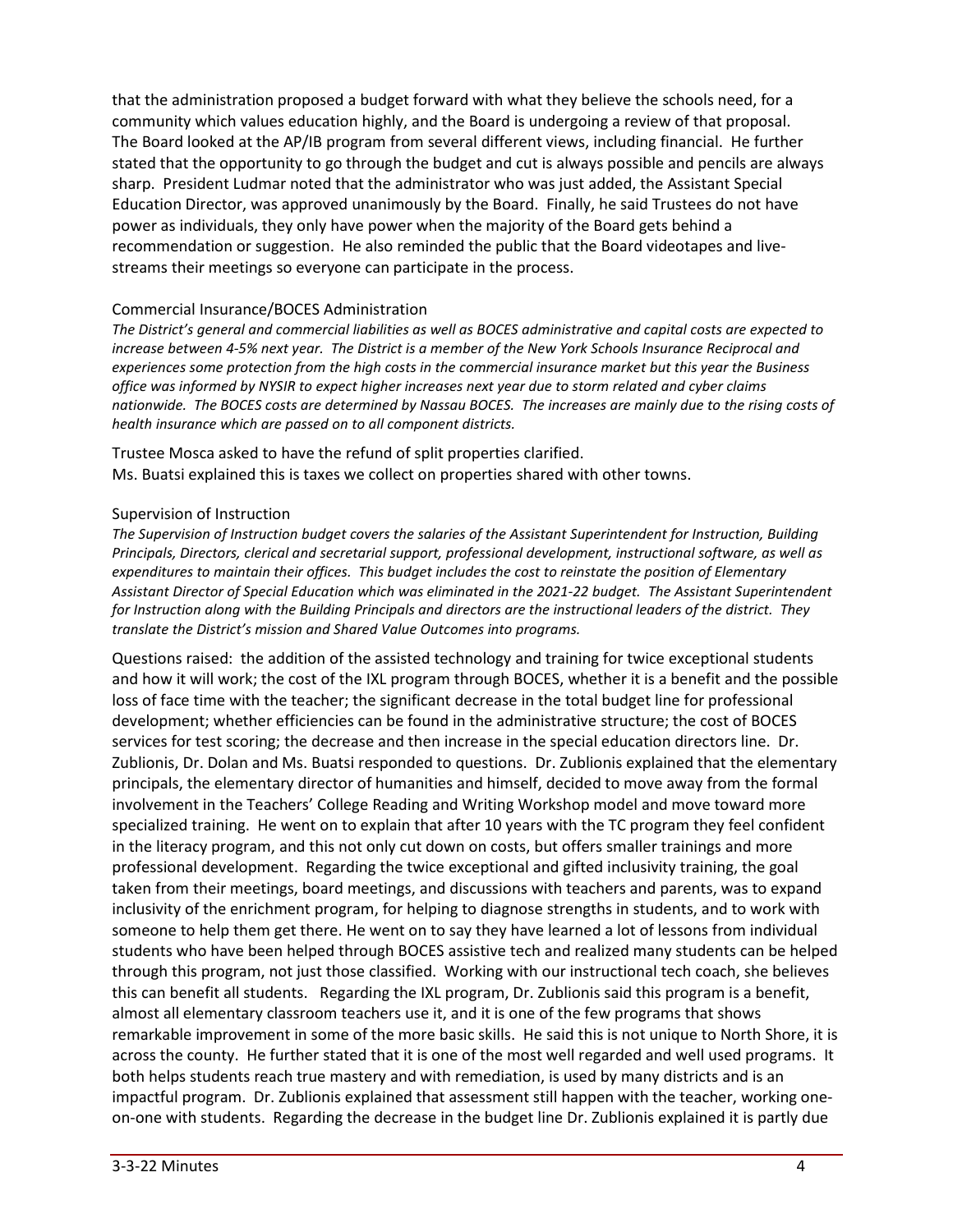that the administration proposed a budget forward with what they believe the schools need, for a community which values education highly, and the Board is undergoing a review of that proposal. The Board looked at the AP/IB program from several different views, including financial. He further stated that the opportunity to go through the budget and cut is always possible and pencils are always sharp. President Ludmar noted that the administrator who was just added, the Assistant Special Education Director, was approved unanimously by the Board. Finally, he said Trustees do not have power as individuals, they only have power when the majority of the Board gets behind a recommendation or suggestion. He also reminded the public that the Board videotapes and livestreams their meetings so everyone can participate in the process.

#### Commercial Insurance/BOCES Administration

The District's general and commercial liabilities as well as BOCES administrative and capital costs are expected to increase between 4-5% next year. The District is a member of the New York Schools Insurance Reciprocal and experiences some protection from the high costs in the commercial insurance market but this year the Business office was informed by NYSIR to expect higher increases next year due to storm related and cyber claims nationwide. The BOCES costs are determined by Nassau BOCES. The increases are mainly due to the rising costs of *health insurance which are passed on to all component districts.*

Trustee Mosca asked to have the refund of split properties clarified. Ms. Buatsi explained this is taxes we collect on properties shared with other towns.

#### Supervision of Instruction

*The Supervision of Instruction budget covers the salaries of the Assistant Superintendent for Instruction, Building Principals, Directors, clerical and secretarial support, professional development, instructional software, as well as expenditures to maintain their offices. This budget includes the cost to reinstate the position of Elementary Assistant Director of Special Education which was eliminated in the 2021-22 budget. The Assistant Superintendent* for Instruction along with the Building Principals and directors are the instructional leaders of the district. They *translate the District's mission and Shared Value Outcomes into programs.*

Questions raised: the addition of the assisted technology and training for twice exceptional students and how it will work; the cost of the IXL program through BOCES, whether it is a benefit and the possible loss of face time with the teacher; the significant decrease in the total budget line for professional development; whether efficiencies can be found in the administrative structure; the cost of BOCES services for test scoring; the decrease and then increase in the special education directors line. Dr. Zublionis, Dr. Dolan and Ms. Buatsi responded to questions. Dr. Zublionis explained that the elementary principals, the elementary director of humanities and himself, decided to move away from the formal involvement in the Teachers' College Reading and Writing Workshop model and move toward more specialized training. He went on to explain that after 10 years with the TC program they feel confident in the literacy program, and this not only cut down on costs, but offers smaller trainings and more professional development. Regarding the twice exceptional and gifted inclusivity training, the goal taken from their meetings, board meetings, and discussions with teachers and parents, was to expand inclusivity of the enrichment program, for helping to diagnose strengths in students, and to work with someone to help them get there. He went on to say they have learned a lot of lessons from individual students who have been helped through BOCES assistive tech and realized many students can be helped through this program, not just those classified. Working with our instructional tech coach, she believes this can benefit all students. Regarding the IXL program, Dr. Zublionis said this program is a benefit, almost all elementary classroom teachers use it, and it is one of the few programs that shows remarkable improvement in some of the more basic skills. He said this is not unique to North Shore, it is across the county. He further stated that it is one of the most well regarded and well used programs. It both helps students reach true mastery and with remediation, is used by many districts and is an impactful program. Dr. Zublionis explained that assessment still happen with the teacher, working oneon-one with students. Regarding the decrease in the budget line Dr. Zublionis explained it is partly due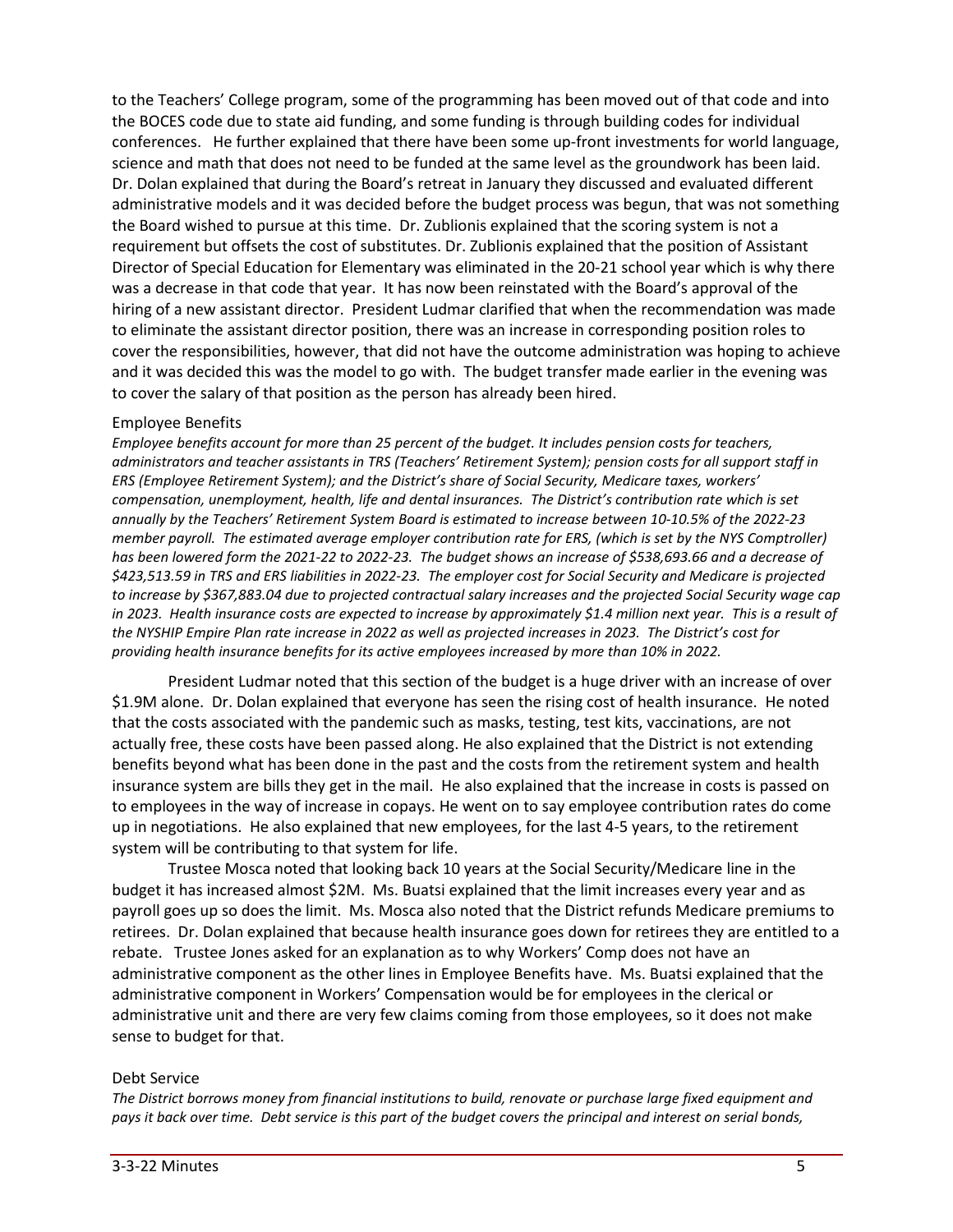to the Teachers' College program, some of the programming has been moved out of that code and into the BOCES code due to state aid funding, and some funding is through building codes for individual conferences. He further explained that there have been some up-front investments for world language, science and math that does not need to be funded at the same level as the groundwork has been laid. Dr. Dolan explained that during the Board's retreat in January they discussed and evaluated different administrative models and it was decided before the budget process was begun, that was not something the Board wished to pursue at this time. Dr. Zublionis explained that the scoring system is not a requirement but offsets the cost of substitutes. Dr. Zublionis explained that the position of Assistant Director of Special Education for Elementary was eliminated in the 20-21 school year which is why there was a decrease in that code that year. It has now been reinstated with the Board's approval of the hiring of a new assistant director. President Ludmar clarified that when the recommendation was made to eliminate the assistant director position, there was an increase in corresponding position roles to cover the responsibilities, however, that did not have the outcome administration was hoping to achieve and it was decided this was the model to go with. The budget transfer made earlier in the evening was to cover the salary of that position as the person has already been hired.

### Employee Benefits

*Employee benefits account for more than 25 percent of the budget. It includes pension costs for teachers,* administrators and teacher assistants in TRS (Teachers' Retirement System); pension costs for all support staff in *ERS (Employee Retirement System); and the District's share of Social Security, Medicare taxes, workers' compensation, unemployment, health, life and dental insurances. The District's contribution rate which is set annually by the Teachers' Retirement System Board is estimated to increase between 10-10.5% of the 2022-23 member payroll. The estimated average employer contribution rate for ERS, (which is set by the NYS Comptroller)* has been lowered form the 2021-22 to 2022-23. The budget shows an increase of \$538,693.66 and a decrease of \$423,513.59 in TRS and ERS liabilities in 2022-23. The employer cost for Social Security and Medicare is projected to increase by \$367,883.04 due to projected contractual salary increases and the projected Social Security wage cap in 2023. Health insurance costs are expected to increase by approximately \$1.4 million next year. This is a result of the NYSHIP Empire Plan rate increase in 2022 as well as projected increases in 2023. The District's cost for *providing health insurance benefits for its active employees increased by more than 10% in 2022.*

President Ludmar noted that this section of the budget is a huge driver with an increase of over \$1.9M alone. Dr. Dolan explained that everyone has seen the rising cost of health insurance. He noted that the costs associated with the pandemic such as masks, testing, test kits, vaccinations, are not actually free, these costs have been passed along. He also explained that the District is not extending benefits beyond what has been done in the past and the costs from the retirement system and health insurance system are bills they get in the mail. He also explained that the increase in costs is passed on to employees in the way of increase in copays. He went on to say employee contribution rates do come up in negotiations. He also explained that new employees, for the last 4-5 years, to the retirement system will be contributing to that system for life.

Trustee Mosca noted that looking back 10 years at the Social Security/Medicare line in the budget it has increased almost \$2M. Ms. Buatsi explained that the limit increases every year and as payroll goes up so does the limit. Ms. Mosca also noted that the District refunds Medicare premiums to retirees. Dr. Dolan explained that because health insurance goes down for retirees they are entitled to a rebate. Trustee Jones asked for an explanation as to why Workers' Comp does not have an administrative component as the other lines in Employee Benefits have. Ms. Buatsi explained that the administrative component in Workers' Compensation would be for employees in the clerical or administrative unit and there are very few claims coming from those employees, so it does not make sense to budget for that.

#### Debt Service

*The District borrows money from financial institutions to build, renovate or purchase large fixed equipment and* pays it back over time. Debt service is this part of the budget covers the principal and interest on serial bonds,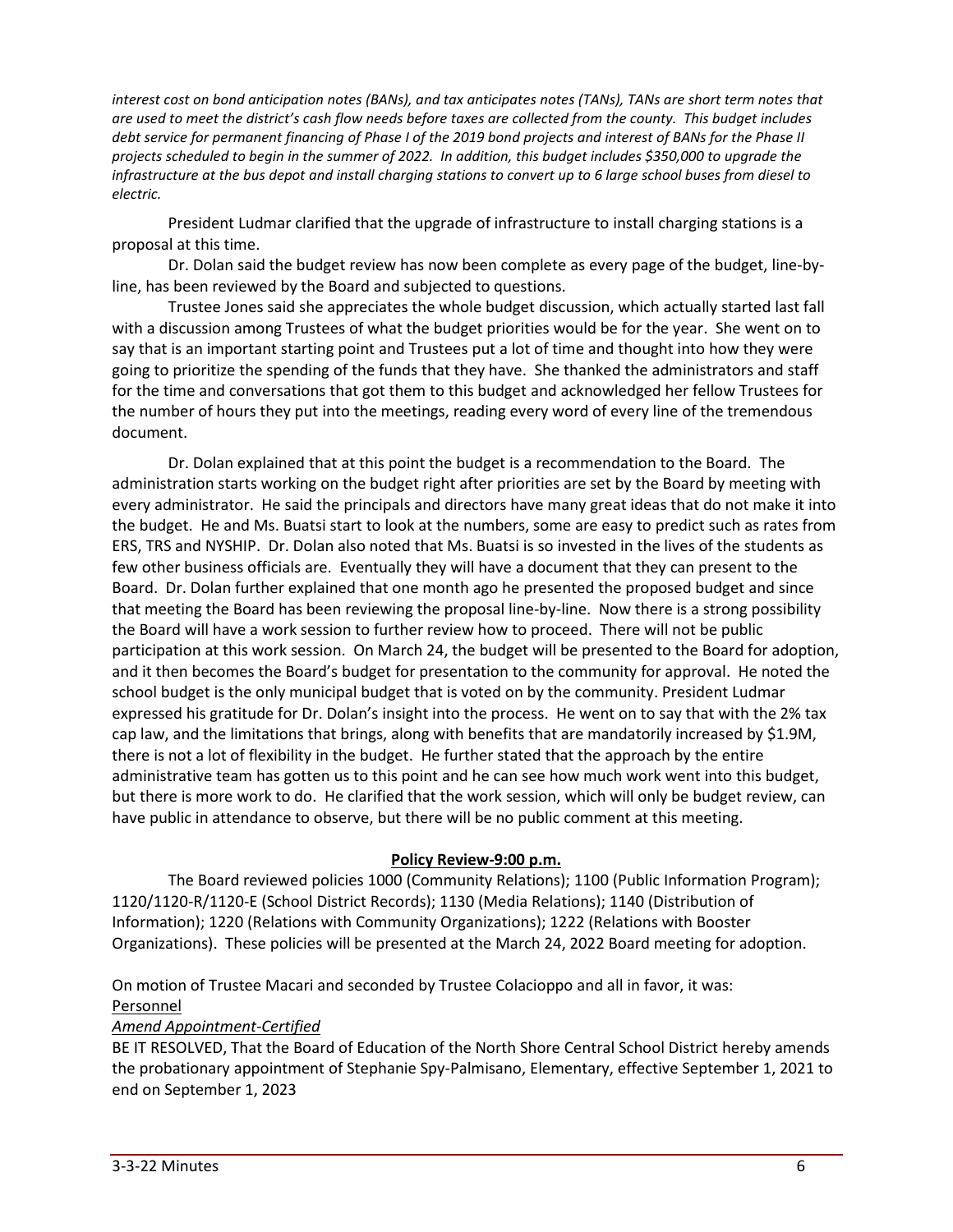interest cost on bond anticipation notes (BANs), and tax anticipates notes (TANs), TANs are short term notes that are used to meet the district's cash flow needs before taxes are collected from the county. This budget includes debt service for permanent financing of Phase I of the 2019 bond projects and interest of BANs for the Phase II projects scheduled to begin in the summer of 2022. In addition, this budget includes \$350,000 to upgrade the infrastructure at the bus depot and install charging stations to convert up to 6 large school buses from diesel to *electric.*

President Ludmar clarified that the upgrade of infrastructure to install charging stations is a proposal at this time.

Dr. Dolan said the budget review has now been complete as every page of the budget, line-byline, has been reviewed by the Board and subjected to questions.

Trustee Jones said she appreciates the whole budget discussion, which actually started last fall with a discussion among Trustees of what the budget priorities would be for the year. She went on to say that is an important starting point and Trustees put a lot of time and thought into how they were going to prioritize the spending of the funds that they have. She thanked the administrators and staff for the time and conversations that got them to this budget and acknowledged her fellow Trustees for the number of hours they put into the meetings, reading every word of every line of the tremendous document.

Dr. Dolan explained that at this point the budget is a recommendation to the Board. The administration starts working on the budget right after priorities are set by the Board by meeting with every administrator. He said the principals and directors have many great ideas that do not make it into the budget. He and Ms. Buatsi start to look at the numbers, some are easy to predict such as rates from ERS, TRS and NYSHIP. Dr. Dolan also noted that Ms. Buatsi is so invested in the lives of the students as few other business officials are. Eventually they will have a document that they can present to the Board. Dr. Dolan further explained that one month ago he presented the proposed budget and since that meeting the Board has been reviewing the proposal line-by-line. Now there is a strong possibility the Board will have a work session to further review how to proceed. There will not be public participation at this work session. On March 24, the budget will be presented to the Board for adoption, and it then becomes the Board's budget for presentation to the community for approval. He noted the school budget is the only municipal budget that is voted on by the community. President Ludmar expressed his gratitude for Dr. Dolan's insight into the process. He went on to say that with the 2% tax cap law, and the limitations that brings, along with benefits that are mandatorily increased by \$1.9M, there is not a lot of flexibility in the budget. He further stated that the approach by the entire administrative team has gotten us to this point and he can see how much work went into this budget, but there is more work to do. He clarified that the work session, which will only be budget review, can have public in attendance to observe, but there will be no public comment at this meeting.

### **Policy Review-9:00 p.m.**

The Board reviewed policies 1000 (Community Relations); 1100 (Public Information Program); 1120/1120-R/1120-E (School District Records); 1130 (Media Relations); 1140 (Distribution of Information); 1220 (Relations with Community Organizations); 1222 (Relations with Booster Organizations). These policies will be presented at the March 24, 2022 Board meeting for adoption.

On motion of Trustee Macari and seconded by Trustee Colacioppo and all in favor, it was: Personnel

### *Amend Appointment-Certified*

BE IT RESOLVED, That the Board of Education of the North Shore Central School District hereby amends the probationary appointment of Stephanie Spy-Palmisano, Elementary, effective September 1, 2021 to end on September 1, 2023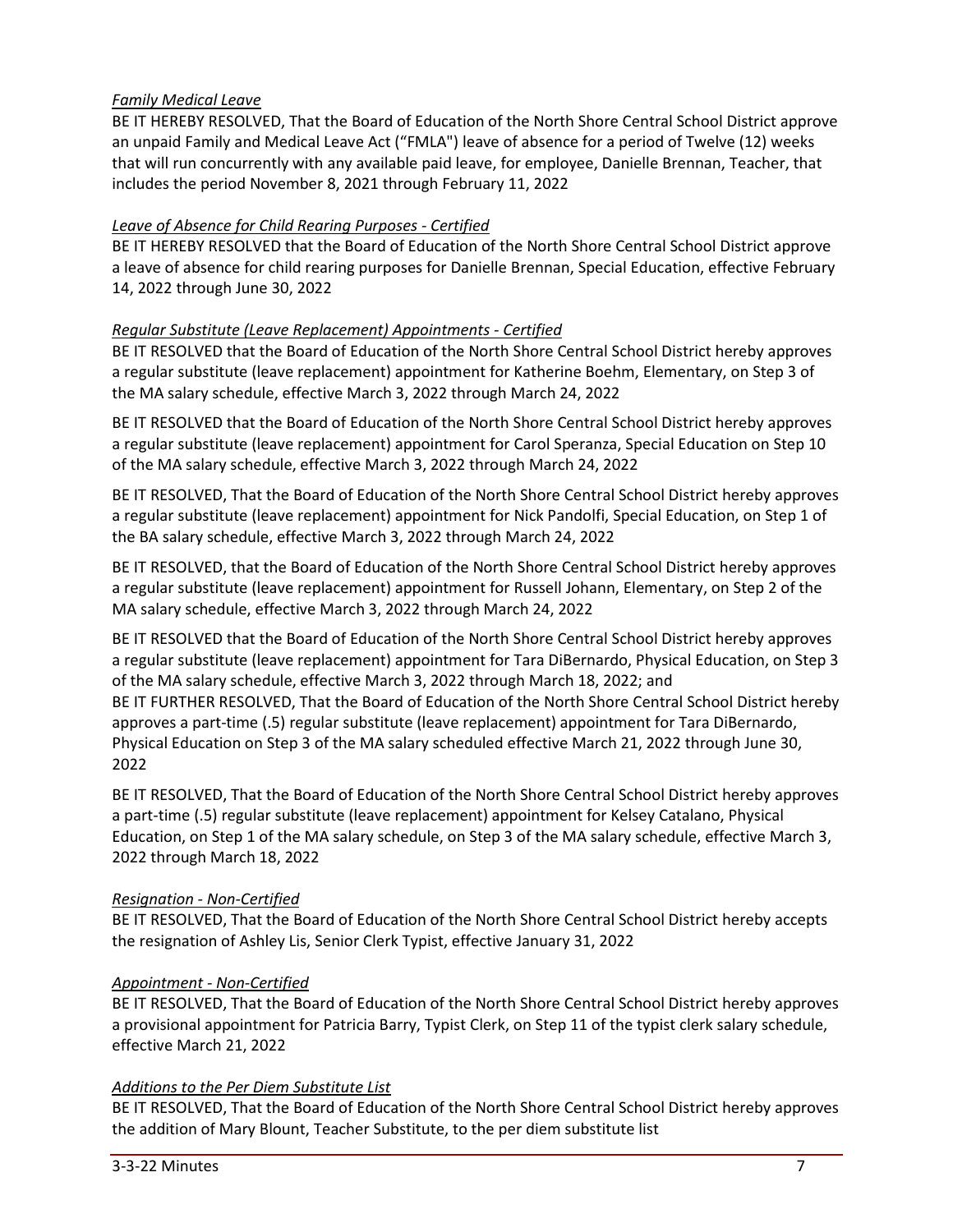# *Family Medical Leave*

BE IT HEREBY RESOLVED, That the Board of Education of the North Shore Central School District approve an unpaid Family and Medical Leave Act ("FMLA") leave of absence for a period of Twelve (12) weeks that will run concurrently with any available paid leave, for employee, Danielle Brennan, Teacher, that includes the period November 8, 2021 through February 11, 2022

## *Leave of Absence for Child Rearing Purposes - Certified*

BE IT HEREBY RESOLVED that the Board of Education of the North Shore Central School District approve a leave of absence for child rearing purposes for Danielle Brennan, Special Education, effective February 14, 2022 through June 30, 2022

## *Regular Substitute (Leave Replacement) Appointments - Certified*

BE IT RESOLVED that the Board of Education of the North Shore Central School District hereby approves a regular substitute (leave replacement) appointment for Katherine Boehm, Elementary, on Step 3 of the MA salary schedule, effective March 3, 2022 through March 24, 2022

BE IT RESOLVED that the Board of Education of the North Shore Central School District hereby approves a regular substitute (leave replacement) appointment for Carol Speranza, Special Education on Step 10 of the MA salary schedule, effective March 3, 2022 through March 24, 2022

BE IT RESOLVED, That the Board of Education of the North Shore Central School District hereby approves a regular substitute (leave replacement) appointment for Nick Pandolfi, Special Education, on Step 1 of the BA salary schedule, effective March 3, 2022 through March 24, 2022

BE IT RESOLVED, that the Board of Education of the North Shore Central School District hereby approves a regular substitute (leave replacement) appointment for Russell Johann, Elementary, on Step 2 of the MA salary schedule, effective March 3, 2022 through March 24, 2022

BE IT RESOLVED that the Board of Education of the North Shore Central School District hereby approves a regular substitute (leave replacement) appointment for Tara DiBernardo, Physical Education, on Step 3 of the MA salary schedule, effective March 3, 2022 through March 18, 2022; and BE IT FURTHER RESOLVED, That the Board of Education of the North Shore Central School District hereby approves a part-time (.5) regular substitute (leave replacement) appointment for Tara DiBernardo, Physical Education on Step 3 of the MA salary scheduled effective March 21, 2022 through June 30, 2022

BE IT RESOLVED, That the Board of Education of the North Shore Central School District hereby approves a part-time (.5) regular substitute (leave replacement) appointment for Kelsey Catalano, Physical Education, on Step 1 of the MA salary schedule, on Step 3 of the MA salary schedule, effective March 3, 2022 through March 18, 2022

# *Resignation - Non-Certified*

BE IT RESOLVED, That the Board of Education of the North Shore Central School District hereby accepts the resignation of Ashley Lis, Senior Clerk Typist, effective January 31, 2022

### *Appointment - Non-Certified*

BE IT RESOLVED, That the Board of Education of the North Shore Central School District hereby approves a provisional appointment for Patricia Barry, Typist Clerk, on Step 11 of the typist clerk salary schedule, effective March 21, 2022

### *Additions to the Per Diem Substitute List*

BE IT RESOLVED, That the Board of Education of the North Shore Central School District hereby approves the addition of Mary Blount, Teacher Substitute, to the per diem substitute list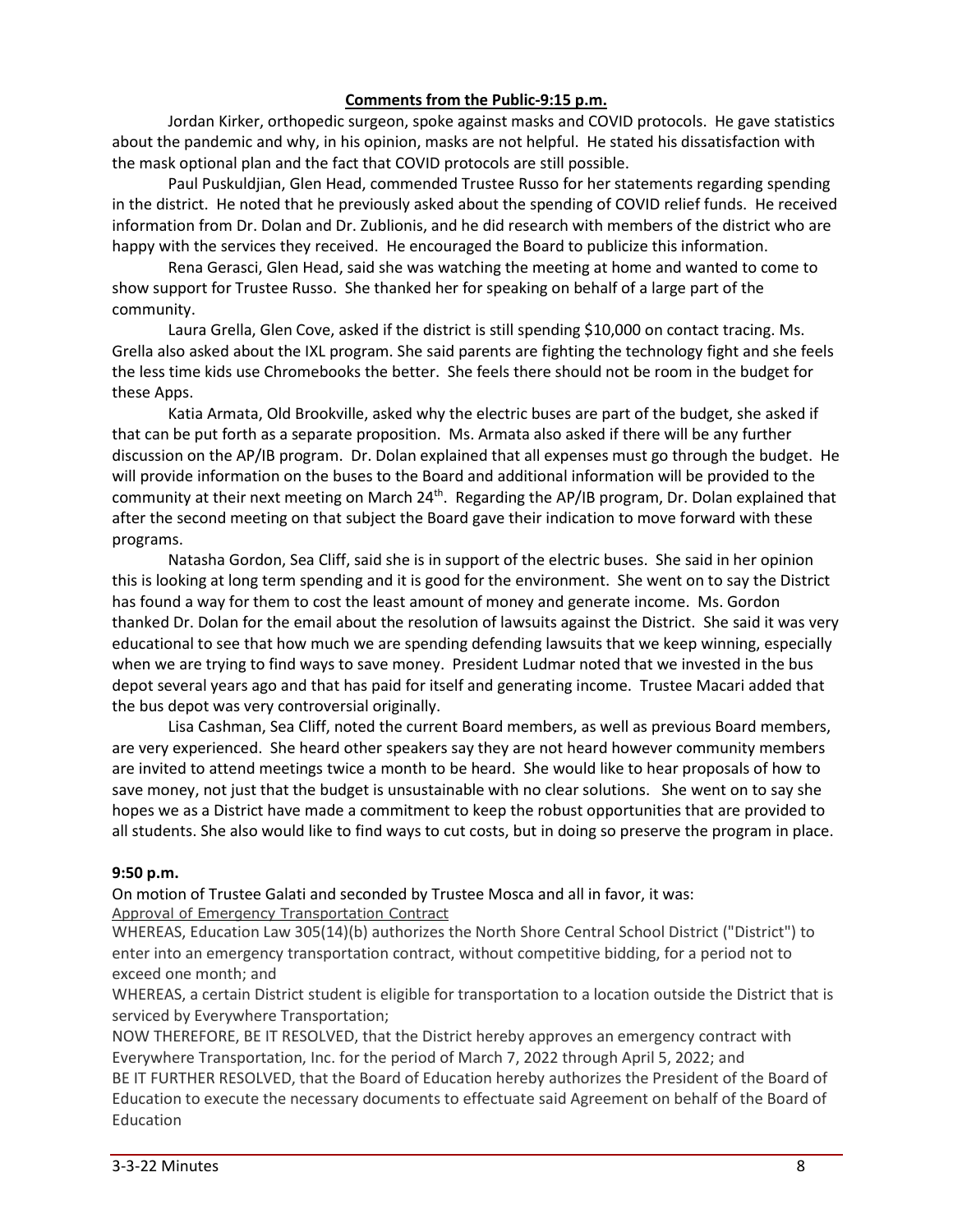### **Comments from the Public-9:15 p.m.**

Jordan Kirker, orthopedic surgeon, spoke against masks and COVID protocols. He gave statistics about the pandemic and why, in his opinion, masks are not helpful. He stated his dissatisfaction with the mask optional plan and the fact that COVID protocols are still possible.

Paul Puskuldjian, Glen Head, commended Trustee Russo for her statements regarding spending in the district. He noted that he previously asked about the spending of COVID relief funds. He received information from Dr. Dolan and Dr. Zublionis, and he did research with members of the district who are happy with the services they received. He encouraged the Board to publicize this information.

Rena Gerasci, Glen Head, said she was watching the meeting at home and wanted to come to show support for Trustee Russo. She thanked her for speaking on behalf of a large part of the community.

Laura Grella, Glen Cove, asked if the district is still spending \$10,000 on contact tracing. Ms. Grella also asked about the IXL program. She said parents are fighting the technology fight and she feels the less time kids use Chromebooks the better. She feels there should not be room in the budget for these Apps.

Katia Armata, Old Brookville, asked why the electric buses are part of the budget, she asked if that can be put forth as a separate proposition. Ms. Armata also asked if there will be any further discussion on the AP/IB program. Dr. Dolan explained that all expenses must go through the budget. He will provide information on the buses to the Board and additional information will be provided to the community at their next meeting on March 24<sup>th</sup>. Regarding the AP/IB program, Dr. Dolan explained that after the second meeting on that subject the Board gave their indication to move forward with these programs.

Natasha Gordon, Sea Cliff, said she is in support of the electric buses. She said in her opinion this is looking at long term spending and it is good for the environment. She went on to say the District has found a way for them to cost the least amount of money and generate income. Ms. Gordon thanked Dr. Dolan for the email about the resolution of lawsuits against the District. She said it was very educational to see that how much we are spending defending lawsuits that we keep winning, especially when we are trying to find ways to save money. President Ludmar noted that we invested in the bus depot several years ago and that has paid for itself and generating income. Trustee Macari added that the bus depot was very controversial originally.

Lisa Cashman, Sea Cliff, noted the current Board members, as well as previous Board members, are very experienced. She heard other speakers say they are not heard however community members are invited to attend meetings twice a month to be heard. She would like to hear proposals of how to save money, not just that the budget is unsustainable with no clear solutions. She went on to say she hopes we as a District have made a commitment to keep the robust opportunities that are provided to all students. She also would like to find ways to cut costs, but in doing so preserve the program in place.

### **9:50 p.m.**

On motion of Trustee Galati and seconded by Trustee Mosca and all in favor, it was: Approval of Emergency Transportation Contract

WHEREAS, Education Law 305(14)(b) authorizes the North Shore Central School District ("District") to enter into an emergency transportation contract, without competitive bidding, for a period not to exceed one month; and

WHEREAS, a certain District student is eligible for transportation to a location outside the District that is serviced by Everywhere Transportation;

NOW THEREFORE, BE IT RESOLVED, that the District hereby approves an emergency contract with Everywhere Transportation, Inc. for the period of March 7, 2022 through April 5, 2022; and BE IT FURTHER RESOLVED, that the Board of Education hereby authorizes the President of the Board of Education to execute the necessary documents to effectuate said Agreement on behalf of the Board of Education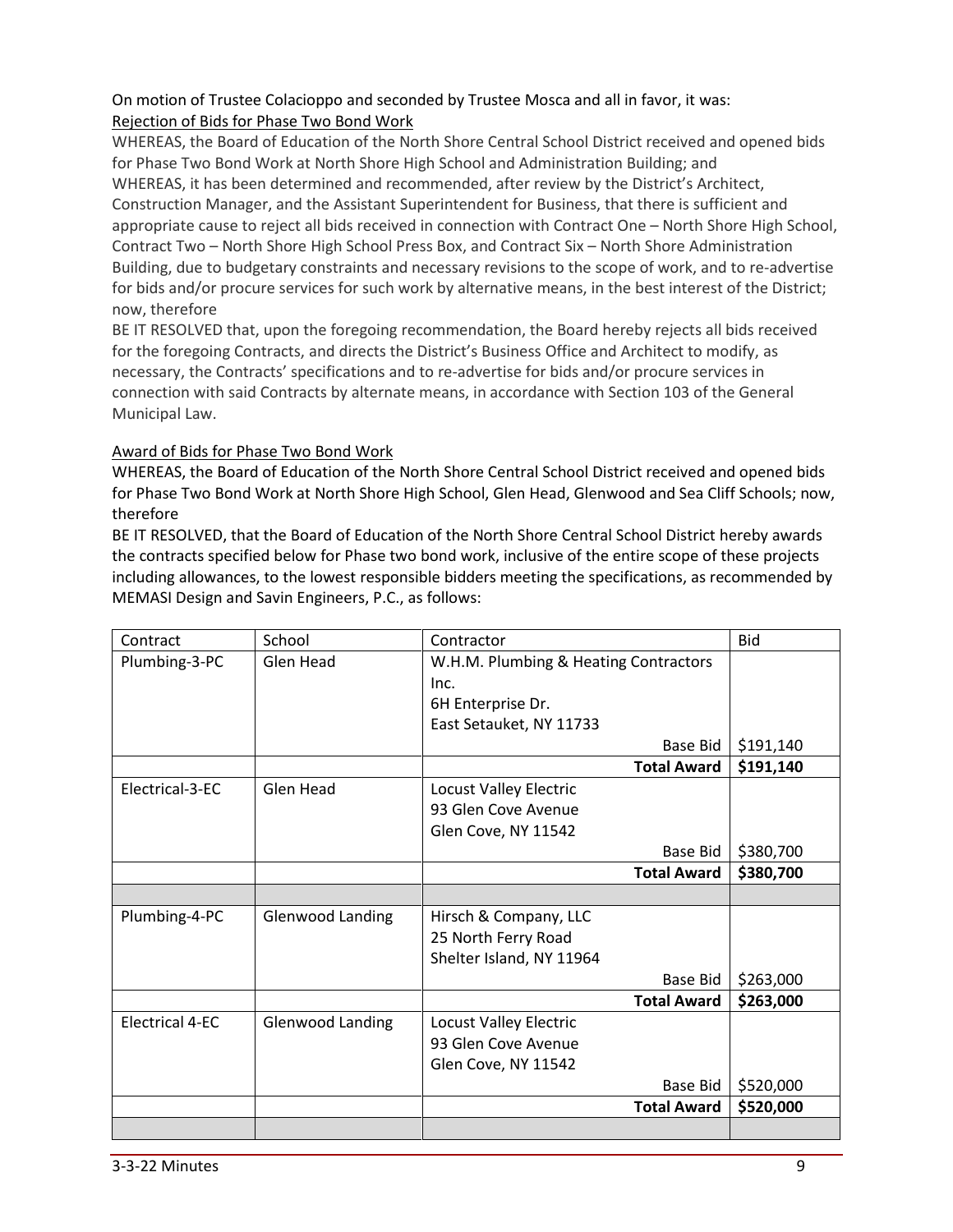# On motion of Trustee Colacioppo and seconded by Trustee Mosca and all in favor, it was: Rejection of Bids for Phase Two Bond Work

WHEREAS, the Board of Education of the North Shore Central School District received and opened bids for Phase Two Bond Work at North Shore High School and Administration Building; and WHEREAS, it has been determined and recommended, after review by the District's Architect, Construction Manager, and the Assistant Superintendent for Business, that there is sufficient and appropriate cause to reject all bids received in connection with Contract One – North Shore High School, Contract Two – North Shore High School Press Box, and Contract Six – North Shore Administration Building, due to budgetary constraints and necessary revisions to the scope of work, and to re-advertise for bids and/or procure services for such work by alternative means, in the best interest of the District; now, therefore

BE IT RESOLVED that, upon the foregoing recommendation, the Board hereby rejects all bids received for the foregoing Contracts, and directs the District's Business Office and Architect to modify, as necessary, the Contracts' specifications and to re-advertise for bids and/or procure services in connection with said Contracts by alternate means, in accordance with Section 103 of the General Municipal Law.

## Award of Bids for Phase Two Bond Work

WHEREAS, the Board of Education of the North Shore Central School District received and opened bids for Phase Two Bond Work at North Shore High School, Glen Head, Glenwood and Sea Cliff Schools; now, therefore

BE IT RESOLVED, that the Board of Education of the North Shore Central School District hereby awards the contracts specified below for Phase two bond work, inclusive of the entire scope of these projects including allowances, to the lowest responsible bidders meeting the specifications, as recommended by MEMASI Design and Savin Engineers, P.C., as follows:

| Contract               | School                  | Contractor                            | <b>Bid</b> |
|------------------------|-------------------------|---------------------------------------|------------|
| Plumbing-3-PC          | Glen Head               | W.H.M. Plumbing & Heating Contractors |            |
|                        |                         | Inc.                                  |            |
|                        |                         | 6H Enterprise Dr.                     |            |
|                        |                         | East Setauket, NY 11733               |            |
|                        |                         | Base Bid                              | \$191,140  |
|                        |                         | <b>Total Award</b>                    | \$191,140  |
| Electrical-3-EC        | Glen Head               | <b>Locust Valley Electric</b>         |            |
|                        |                         | 93 Glen Cove Avenue                   |            |
|                        |                         | Glen Cove, NY 11542                   |            |
|                        |                         | Base Bid                              | \$380,700  |
|                        |                         | <b>Total Award</b>                    | \$380,700  |
|                        |                         |                                       |            |
|                        |                         |                                       |            |
| Plumbing-4-PC          | <b>Glenwood Landing</b> | Hirsch & Company, LLC                 |            |
|                        |                         | 25 North Ferry Road                   |            |
|                        |                         | Shelter Island, NY 11964              |            |
|                        |                         | Base Bid                              | \$263,000  |
|                        |                         | <b>Total Award</b>                    | \$263,000  |
| <b>Electrical 4-EC</b> | <b>Glenwood Landing</b> | <b>Locust Valley Electric</b>         |            |
|                        |                         | 93 Glen Cove Avenue                   |            |
|                        |                         | Glen Cove, NY 11542                   |            |
|                        |                         | Base Bid                              | \$520,000  |
|                        |                         | <b>Total Award</b>                    | \$520,000  |